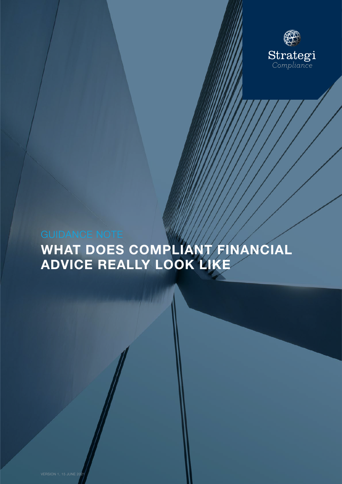

# WHAT DOES COMPLIANT FINANCIAL ADVICE REALLY LOOK LIKE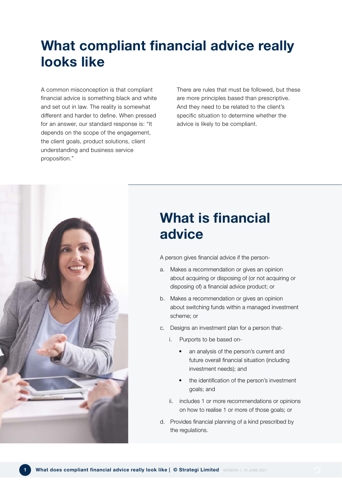## What compliant financial advice really looks like

A common misconception is that compliant financial advice is something black and white and set out in law. The reality is somewhat different and harder to define. When pressed for an answer, our standard response is: "It depends on the scope of the engagement, the client goals, product solutions, client understanding and business service proposition."

There are rules that must be followed, but these are more principles based than prescriptive. And they need to be related to the client's specific situation to determine whether the advice is likely to be compliant.



## What is financial advice

A person gives financial advice if the person-

- a. Makes a recommendation or gives an opinion about acquiring or disposing of (or not acquiring or disposing of) a financial advice product; or
- b. Makes a recommendation or gives an opinion about switching funds within a managed investment scheme; or
- c. Designs an investment plan for a person that
	- i. Purports to be based on-
		- an analysis of the person's current and future overall financial situation (including investment needs); and
		- the identification of the person's investment goals; and
	- ii. includes 1 or more recommendations or opinions on how to realise 1 or more of those goals; or
- d. Provides financial planning of a kind prescribed by the regulations.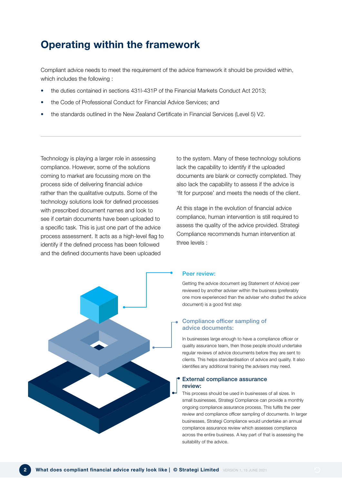## Operating within the framework

Compliant advice needs to meet the requirement of the advice framework it should be provided within, which includes the following :

- the duties contained in sections 431I-431P of the Financial Markets Conduct Act 2013;
- the Code of Professional Conduct for Financial Advice Services; and
- the standards outlined in the New Zealand Certificate in Financial Services (Level 5) V2.

Technology is playing a larger role in assessing compliance. However, some of the solutions coming to market are focussing more on the process side of delivering financial advice rather than the qualitative outputs. Some of the technology solutions look for defined processes with prescribed document names and look to see if certain documents have been uploaded to a specific task. This is just one part of the advice process assessment. It acts as a high-level flag to identify if the defined process has been followed and the defined documents have been uploaded



to the system. Many of these technology solutions lack the capability to identify if the uploaded documents are blank or correctly completed. They also lack the capability to assess if the advice is 'fit for purpose' and meets the needs of the client.

At this stage in the evolution of financial advice compliance, human intervention is still required to assess the quality of the advice provided. Strategi Compliance recommends human intervention at three levels :

#### Peer review:

Getting the advice document (eg Statement of Advice) peer reviewed by another adviser within the business (preferably one more experienced than the adviser who drafted the advice document) is a good first step

#### Compliance officer sampling of advice documents:

In businesses large enough to have a compliance officer or quality assurance team, then those people should undertake regular reviews of advice documents before they are sent to clients. This helps standardisation of advice and quality. It also identifies any additional training the advisers may need.

#### External compliance assurance review:

This process should be used in businesses of all sizes. In small businesses, Strategi Compliance can provide a monthly ongoing compliance assurance process. This fulfils the peer review and compliance officer sampling of documents. In larger businesses, Strategi Compliance would undertake an annual compliance assurance review which assesses compliance across the entire business. A key part of that is assessing the suitability of the advice.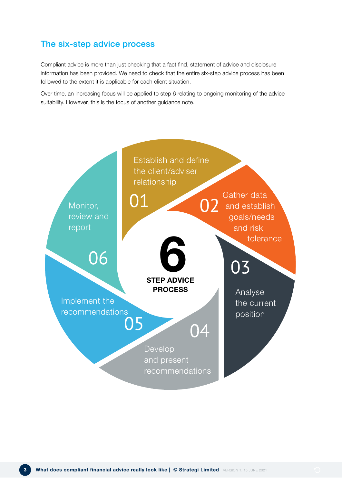### The six-step advice process

Compliant advice is more than just checking that a fact find, statement of advice and disclosure information has been provided. We need to check that the entire six-step advice process has been followed to the extent it is applicable for each client situation.

Over time, an increasing focus will be applied to step 6 relating to ongoing monitoring of the advice suitability. However, this is the focus of another guidance note.

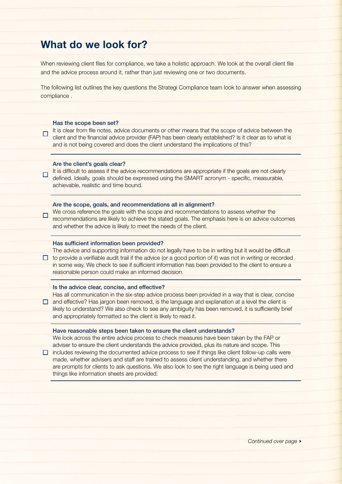### What do we look for?

When reviewing client files for compliance, we take a holistic approach. We look at the overall client file and the advice process around it, rather than just reviewing one or two documents.

The following list outlines the key questions the Strategi Compliance team look to answer when assessing compliance .

#### Has the scope been set?

It is clear from file notes, advice documents or other means that the scope of advice between the  $\Box$ client and the financial advice provider (FAP) has been clearly established? Is it clear as to what is and is not being covered and does the client understand the implications of this?

#### Are the client's goals clear?

It is difficult to assess if the advice recommendations are appropriate if the goals are not clearly defined. Ideally, goals should be expressed using the SMART acronym - specific, measurable, achievable, realistic and time bound.

#### Are the scope, goals, and recommendations all in alignment?

We cross reference the goals with the scope and recommendations to assess whether the recommendations are likely to achieve the stated goals. The emphasis here is on advice outcomes and whether the advice is likely to meet the needs of the client.

#### Has sufficient information been provided?

The advice and supporting information do not legally have to be in writing but it would be difficult  $\Box$  to provide a verifiable audit trail if the advice (or a good portion of it) was not in writing or recorded in some way. We check to see if sufficient information has been provided to the client to ensure a reasonable person could make an informed decision.

#### Is the advice clear, concise, and effective?

Has all communication in the six-step advice process been provided in a way that is clear, concise  $\Box$  and effective? Has jargon been removed, is the language and explanation at a level the client is likely to understand? We also check to see any ambiguity has been removed, it is sufficiently brief and appropriately formatted so the client is likely to read it.

#### Have reasonable steps been taken to ensure the client understands?

We look across the entire advice process to check measures have been taken by the FAP or adviser to ensure the client understands the advice provided, plus its nature and scope. This

 $\Box$  includes reviewing the documented advice process to see if things like client follow-up calls were made, whether advisers and staff are trained to assess client understanding, and whether there are prompts for clients to ask questions. We also look to see the right language is being used and things like information sheets are provided.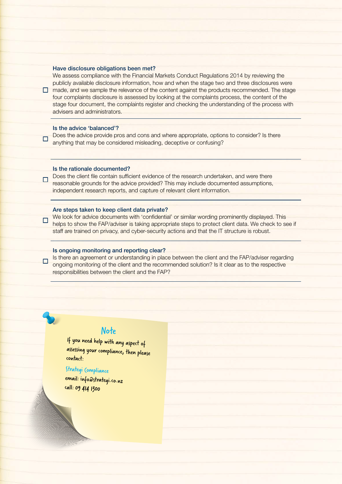#### Have disclosure obligations been met?

We assess compliance with the Financial Markets Conduct Regulations 2014 by reviewing the publicly available disclosure information, how and when the stage two and three disclosures were  $\Box$  made, and we sample the relevance of the content against the products recommended. The stage four complaints disclosure is assessed by looking at the complaints process, the content of the stage four document, the complaints register and checking the understanding of the process with advisers and administrators.

#### Is the advice 'balanced'?

Does the advice provide pros and cons and where appropriate, options to consider? Is there  $\Box$ anything that may be considered misleading, deceptive or confusing?

#### Is the rationale documented?

Does the client file contain sufficient evidence of the research undertaken, and were there  $\Box$ reasonable grounds for the advice provided? This may include documented assumptions, independent research reports, and capture of relevant client information.

#### Are steps taken to keep client data private?

We look for advice documents with 'confidential' or similar wording prominently displayed. This  $\Box$ helps to show the FAP/adviser is taking appropriate steps to protect client data. We check to see if staff are trained on privacy, and cyber-security actions and that the IT structure is robust.

#### Is ongoing monitoring and reporting clear?

Is there an agreement or understanding in place between the client and the FAP/adviser regarding  $\Box$ ongoing monitoring of the client and the recommended solution? Is it clear as to the respective responsibilities between the client and the FAP?

### Note

If you need help with any aspect of assessing your compliance, then please contact:

### Strategi Compliance

email: info@strategi.co.nz call: 09 414 1300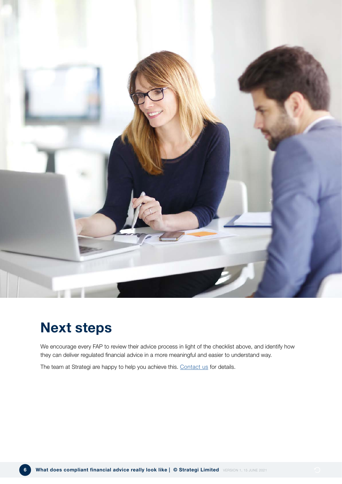

## Next steps

We encourage every FAP to review their advice process in light of the checklist above, and identify how they can deliver regulated financial advice in a more meaningful and easier to understand way.

The team at Strategi are happy to help you achieve this. [Contact us](https://strategi.co.nz/contact) for details.